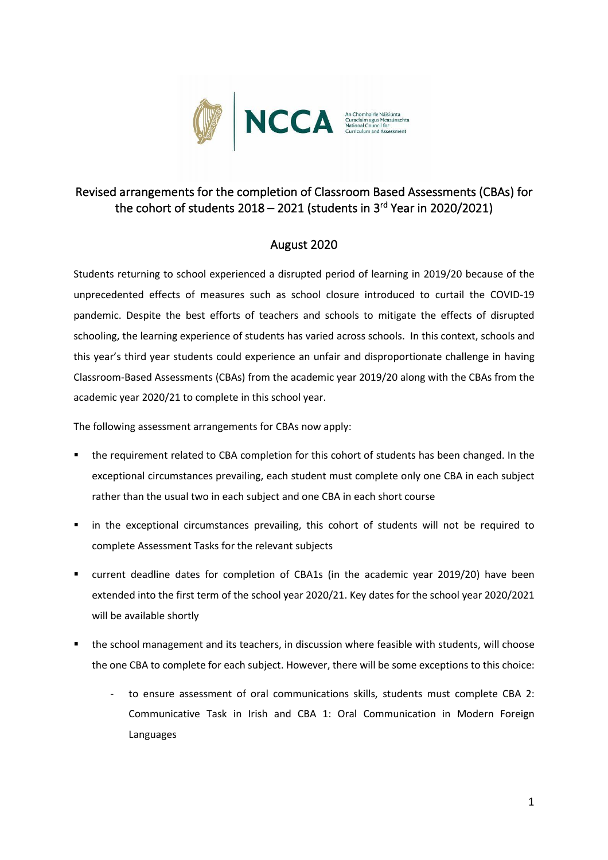

## Revised arrangements for the completion of Classroom Based Assessments (CBAs) for the cohort of students 2018 – 2021 (students in 3<sup>rd</sup> Year in 2020/2021)

## August 2020

Students returning to school experienced a disrupted period of learning in 2019/20 because of the unprecedented effects of measures such as school closure introduced to curtail the COVID-19 pandemic. Despite the best efforts of teachers and schools to mitigate the effects of disrupted schooling, the learning experience of students has varied across schools. In this context, schools and this year's third year students could experience an unfair and disproportionate challenge in having Classroom-Based Assessments (CBAs) from the academic year 2019/20 along with the CBAs from the academic year 2020/21 to complete in this school year.

The following assessment arrangements for CBAs now apply:

- the requirement related to CBA completion for this cohort of students has been changed. In the exceptional circumstances prevailing, each student must complete only one CBA in each subject rather than the usual two in each subject and one CBA in each short course
- in the exceptional circumstances prevailing, this cohort of students will not be required to complete Assessment Tasks for the relevant subjects
- current deadline dates for completion of CBA1s (in the academic year 2019/20) have been extended into the first term of the school year 2020/21. Key dates for the school year 2020/2021 will be available shortly
- the school management and its teachers, in discussion where feasible with students, will choose the one CBA to complete for each subject. However, there will be some exceptions to this choice:
	- to ensure assessment of oral communications skills, students must complete CBA 2: Communicative Task in Irish and CBA 1: Oral Communication in Modern Foreign Languages